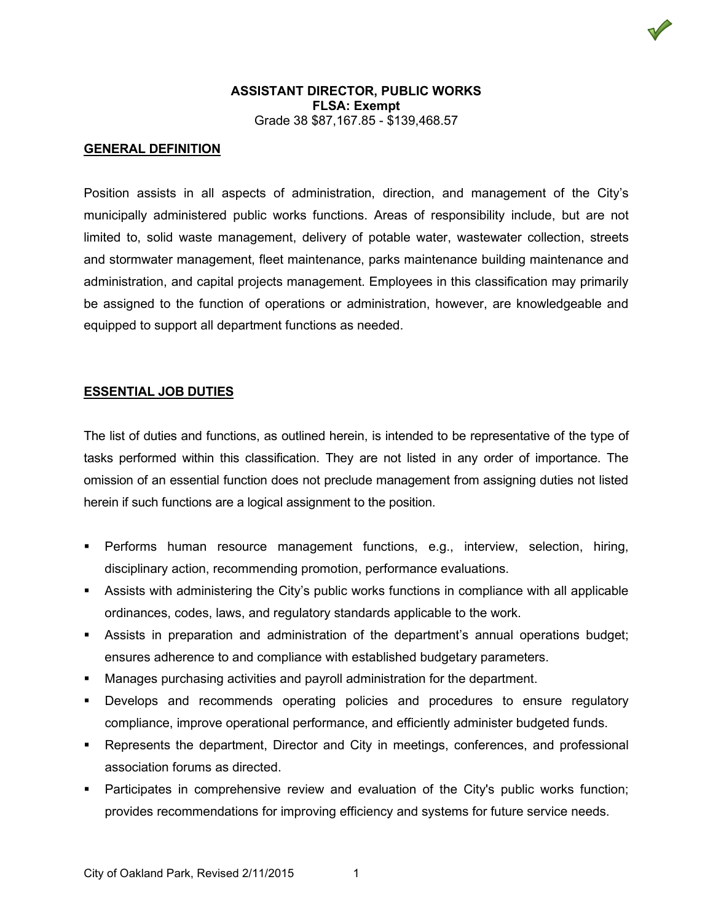

## **GENERAL DEFINITION**

Position assists in all aspects of administration, direction, and management of the City's municipally administered public works functions. Areas of responsibility include, but are not limited to, solid waste management, delivery of potable water, wastewater collection, streets and stormwater management, fleet maintenance, parks maintenance building maintenance and administration, and capital projects management. Employees in this classification may primarily be assigned to the function of operations or administration, however, are knowledgeable and equipped to support all department functions as needed.

### **ESSENTIAL JOB DUTIES**

The list of duties and functions, as outlined herein, is intended to be representative of the type of tasks performed within this classification. They are not listed in any order of importance. The omission of an essential function does not preclude management from assigning duties not listed herein if such functions are a logical assignment to the position.

- Performs human resource management functions, e.g., interview, selection, hiring, disciplinary action, recommending promotion, performance evaluations.
- Assists with administering the City's public works functions in compliance with all applicable ordinances, codes, laws, and regulatory standards applicable to the work.
- Assists in preparation and administration of the department's annual operations budget; ensures adherence to and compliance with established budgetary parameters.
- Manages purchasing activities and payroll administration for the department.
- Develops and recommends operating policies and procedures to ensure regulatory compliance, improve operational performance, and efficiently administer budgeted funds.
- Represents the department, Director and City in meetings, conferences, and professional association forums as directed.
- Participates in comprehensive review and evaluation of the City's public works function; provides recommendations for improving efficiency and systems for future service needs.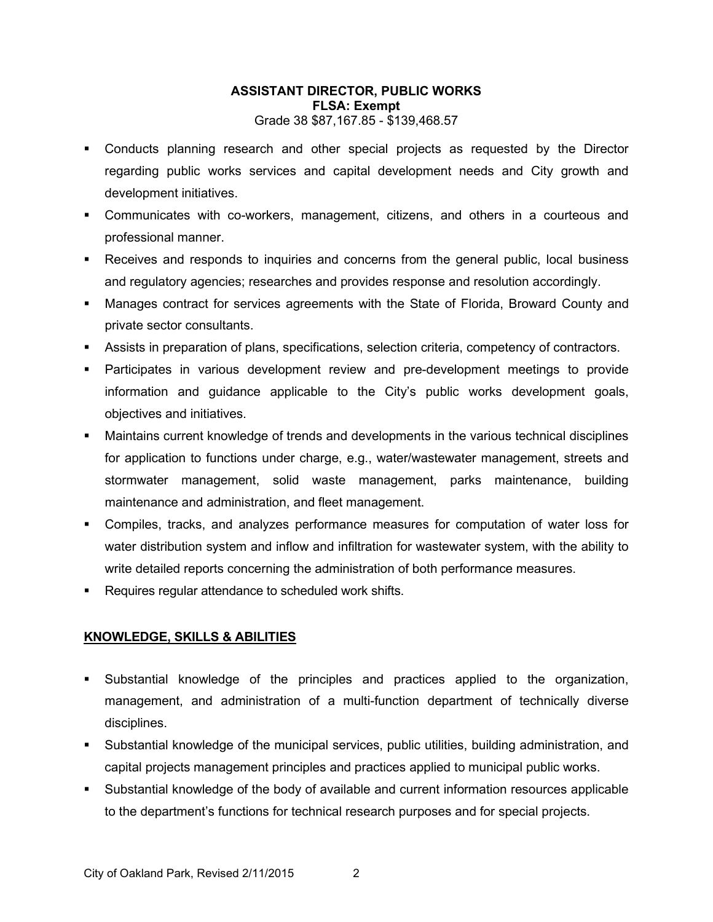- Conducts planning research and other special projects as requested by the Director regarding public works services and capital development needs and City growth and development initiatives.
- Communicates with co-workers, management, citizens, and others in a courteous and professional manner.
- Receives and responds to inquiries and concerns from the general public, local business and regulatory agencies; researches and provides response and resolution accordingly.
- Manages contract for services agreements with the State of Florida, Broward County and private sector consultants.
- Assists in preparation of plans, specifications, selection criteria, competency of contractors.
- Participates in various development review and pre-development meetings to provide information and guidance applicable to the City's public works development goals, objectives and initiatives.
- Maintains current knowledge of trends and developments in the various technical disciplines for application to functions under charge, e.g., water/wastewater management, streets and stormwater management, solid waste management, parks maintenance, building maintenance and administration, and fleet management.
- Compiles, tracks, and analyzes performance measures for computation of water loss for water distribution system and inflow and infiltration for wastewater system, with the ability to write detailed reports concerning the administration of both performance measures.
- Requires regular attendance to scheduled work shifts.

# **KNOWLEDGE, SKILLS & ABILITIES**

- Substantial knowledge of the principles and practices applied to the organization, management, and administration of a multi-function department of technically diverse disciplines.
- Substantial knowledge of the municipal services, public utilities, building administration, and capital projects management principles and practices applied to municipal public works.
- Substantial knowledge of the body of available and current information resources applicable to the department's functions for technical research purposes and for special projects.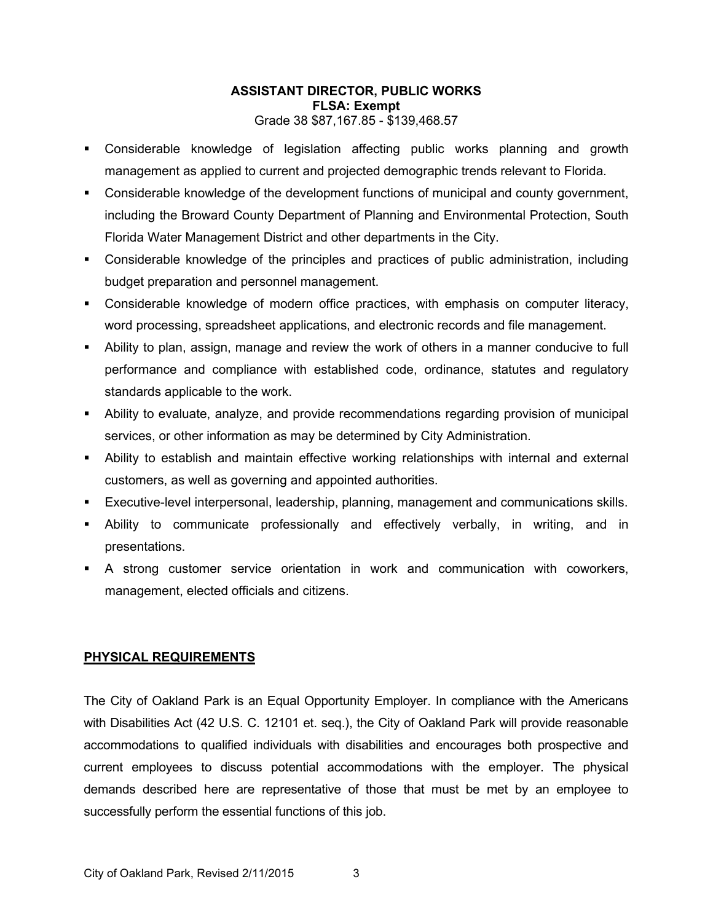- Considerable knowledge of legislation affecting public works planning and growth management as applied to current and projected demographic trends relevant to Florida.
- Considerable knowledge of the development functions of municipal and county government, including the Broward County Department of Planning and Environmental Protection, South Florida Water Management District and other departments in the City.
- Considerable knowledge of the principles and practices of public administration, including budget preparation and personnel management.
- **•** Considerable knowledge of modern office practices, with emphasis on computer literacy, word processing, spreadsheet applications, and electronic records and file management.
- Ability to plan, assign, manage and review the work of others in a manner conducive to full performance and compliance with established code, ordinance, statutes and regulatory standards applicable to the work.
- Ability to evaluate, analyze, and provide recommendations regarding provision of municipal services, or other information as may be determined by City Administration.
- Ability to establish and maintain effective working relationships with internal and external customers, as well as governing and appointed authorities.
- Executive-level interpersonal, leadership, planning, management and communications skills.
- Ability to communicate professionally and effectively verbally, in writing, and in presentations.
- A strong customer service orientation in work and communication with coworkers, management, elected officials and citizens.

### **PHYSICAL REQUIREMENTS**

The City of Oakland Park is an Equal Opportunity Employer. In compliance with the Americans with Disabilities Act (42 U.S. C. 12101 et. seq.), the City of Oakland Park will provide reasonable accommodations to qualified individuals with disabilities and encourages both prospective and current employees to discuss potential accommodations with the employer. The physical demands described here are representative of those that must be met by an employee to successfully perform the essential functions of this job.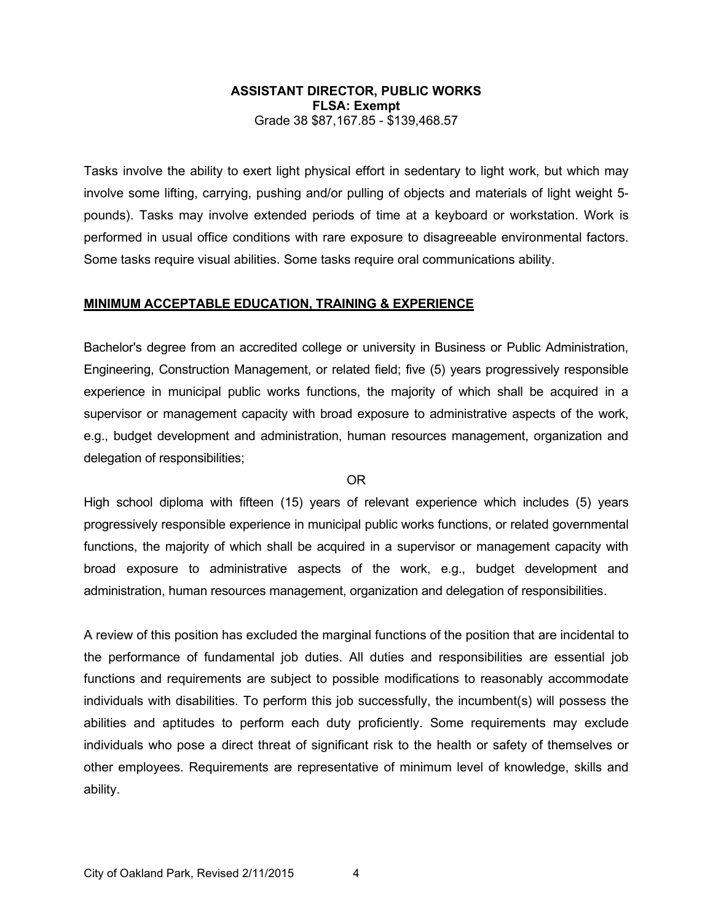Tasks involve the ability to exert light physical effort in sedentary to light work, but which may involve some lifting, carrying, pushing and/or pulling of objects and materials of light weight 5 pounds). Tasks may involve extended periods of time at a keyboard or workstation. Work is performed in usual office conditions with rare exposure to disagreeable environmental factors. Some tasks require visual abilities. Some tasks require oral communications ability.

#### **MINIMUM ACCEPTABLE EDUCATION, TRAINING & EXPERIENCE**

Bachelor's degree from an accredited college or university in Business or Public Administration, Engineering, Construction Management, or related field; five (5) years progressively responsible experience in municipal public works functions, the majority of which shall be acquired in a supervisor or management capacity with broad exposure to administrative aspects of the work, e.g., budget development and administration, human resources management, organization and delegation of responsibilities;

#### OR

High school diploma with fifteen (15) years of relevant experience which includes (5) years progressively responsible experience in municipal public works functions, or related governmental functions, the majority of which shall be acquired in a supervisor or management capacity with broad exposure to administrative aspects of the work, e.g., budget development and administration, human resources management, organization and delegation of responsibilities.

A review of this position has excluded the marginal functions of the position that are incidental to the performance of fundamental job duties. All duties and responsibilities are essential job functions and requirements are subject to possible modifications to reasonably accommodate individuals with disabilities. To perform this job successfully, the incumbent(s) will possess the abilities and aptitudes to perform each duty proficiently. Some requirements may exclude individuals who pose a direct threat of significant risk to the health or safety of themselves or other employees. Requirements are representative of minimum level of knowledge, skills and ability.